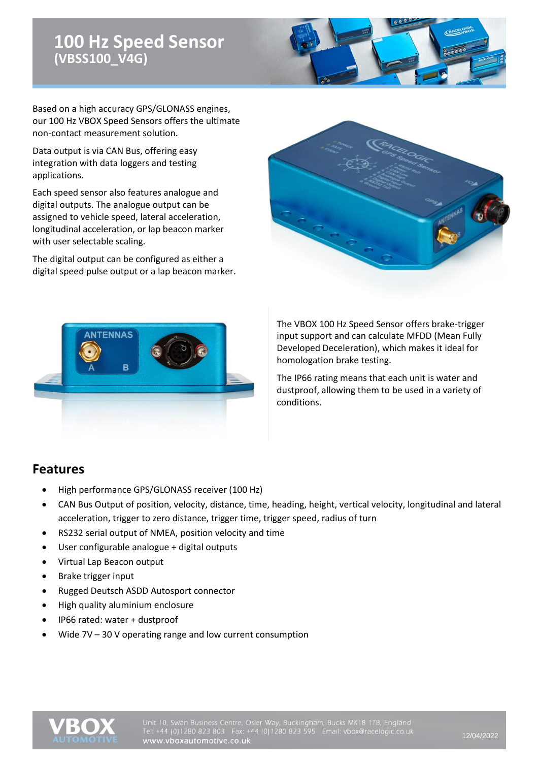# **100 Hz Speed Sensor (VBSS100\_V4G)**

Based on a high accuracy GPS/GLONASS engines, our 100 Hz VBOX Speed Sensors offers the ultimate non-contact measurement solution.

Data output is via CAN Bus, offering easy integration with data loggers and testing applications.

Each speed sensor also features analogue and digital outputs. The analogue output can be assigned to vehicle speed, lateral acceleration, longitudinal acceleration, or lap beacon marker with user selectable scaling.

The digital output can be configured as either a digital speed pulse output or a lap beacon marker.





The VBOX 100 Hz Speed Sensor offers brake-trigger input support and can calculate MFDD (Mean Fully Developed Deceleration), which makes it ideal for homologation brake testing.

The IP66 rating means that each unit is water and dustproof, allowing them to be used in a variety of conditions.

#### **Features**

- High performance GPS/GLONASS receiver (100 Hz)
- CAN Bus Output of position, velocity, distance, time, heading, height, vertical velocity, longitudinal and lateral acceleration, trigger to zero distance, trigger time, trigger speed, radius of turn
- RS232 serial output of NMEA, position velocity and time
- User configurable analogue + digital outputs
- Virtual Lap Beacon output
- Brake trigger input
- Rugged Deutsch ASDD Autosport connector
- High quality aluminium enclosure
- IP66 rated: water + dustproof
- Wide  $7V 30V$  operating range and low current consumption

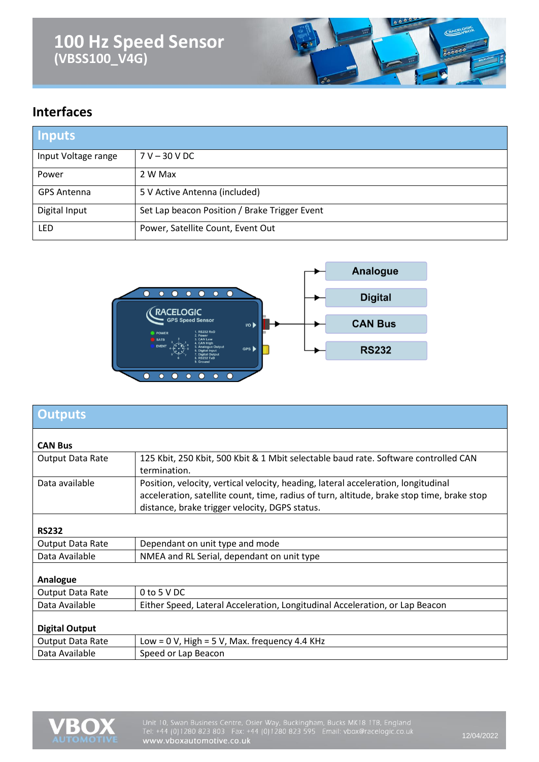# **100 Hz Speed Sensor (VBSS100\_V4G)**



#### **Interfaces**

| <b>Inputs</b>       |                                               |
|---------------------|-----------------------------------------------|
| Input Voltage range | $7 V - 30 V DC$                               |
| Power               | 2 W Max                                       |
| <b>GPS Antenna</b>  | 5 V Active Antenna (included)                 |
| Digital Input       | Set Lap beacon Position / Brake Trigger Event |
| <b>LED</b>          | Power, Satellite Count, Event Out             |



| <b>Outputs</b>        |                                                                                                                                                                                                                                    |
|-----------------------|------------------------------------------------------------------------------------------------------------------------------------------------------------------------------------------------------------------------------------|
| <b>CAN Bus</b>        |                                                                                                                                                                                                                                    |
| Output Data Rate      | 125 Kbit, 250 Kbit, 500 Kbit & 1 Mbit selectable baud rate. Software controlled CAN<br>termination.                                                                                                                                |
| Data available        | Position, velocity, vertical velocity, heading, lateral acceleration, longitudinal<br>acceleration, satellite count, time, radius of turn, altitude, brake stop time, brake stop<br>distance, brake trigger velocity, DGPS status. |
| <b>RS232</b>          |                                                                                                                                                                                                                                    |
| Output Data Rate      | Dependant on unit type and mode                                                                                                                                                                                                    |
| Data Available        | NMEA and RL Serial, dependant on unit type                                                                                                                                                                                         |
| Analogue              |                                                                                                                                                                                                                                    |
| Output Data Rate      | 0 to 5 V DC                                                                                                                                                                                                                        |
| Data Available        | Either Speed, Lateral Acceleration, Longitudinal Acceleration, or Lap Beacon                                                                                                                                                       |
| <b>Digital Output</b> |                                                                                                                                                                                                                                    |
| Output Data Rate      | Low = $0$ V, High = $5$ V, Max. frequency 4.4 KHz                                                                                                                                                                                  |
| Data Available        | Speed or Lap Beacon                                                                                                                                                                                                                |

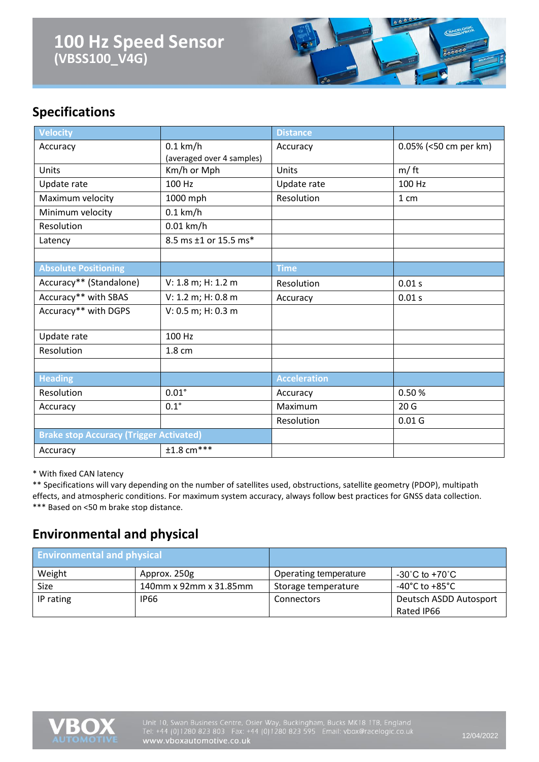### **100 Hz Speed Sensor (VBSS100\_V4G)**



### **Specifications**

| Velocity                    |                                                | <b>Distance</b>     |                       |
|-----------------------------|------------------------------------------------|---------------------|-----------------------|
| Accuracy                    | $0.1$ km/h                                     | Accuracy            | 0.05% (<50 cm per km) |
|                             | (averaged over 4 samples)                      |                     |                       |
| Units                       | Km/h or Mph                                    | Units               | m/ft                  |
| Update rate                 | 100 Hz                                         | Update rate         | 100 Hz                |
| Maximum velocity            | 1000 mph                                       | Resolution          | 1 cm                  |
| Minimum velocity            | $0.1$ km/h                                     |                     |                       |
| Resolution                  | $0.01$ km/h                                    |                     |                       |
| Latency                     | 8.5 ms ±1 or 15.5 ms*                          |                     |                       |
|                             |                                                |                     |                       |
| <b>Absolute Positioning</b> |                                                | <b>Time</b>         |                       |
| Accuracy** (Standalone)     | V: 1.8 m; H: 1.2 m                             | Resolution          | 0.01 s                |
| Accuracy** with SBAS        | V: 1.2 m; H: 0.8 m                             | Accuracy            | 0.01 s                |
| Accuracy** with DGPS        | V: 0.5 m; H: 0.3 m                             |                     |                       |
| Update rate                 | 100 Hz                                         |                     |                       |
| Resolution                  | 1.8 cm                                         |                     |                       |
|                             |                                                |                     |                       |
| <b>Heading</b>              |                                                | <b>Acceleration</b> |                       |
| Resolution                  | $0.01^\circ$                                   | Accuracy            | 0.50%                 |
| Accuracy                    | $0.1^\circ$                                    | Maximum             | 20 <sub>G</sub>       |
|                             |                                                | Resolution          | 0.01 <sub>G</sub>     |
|                             | <b>Brake stop Accuracy (Trigger Activated)</b> |                     |                       |
| Accuracy                    | $±1.8$ cm <sup>***</sup>                       |                     |                       |

\* With fixed CAN latency

\*\* Specifications will vary depending on the number of satellites used, obstructions, satellite geometry (PDOP), multipath effects, and atmospheric conditions. For maximum system accuracy, always follow best practices for GNSS data collection. \*\*\* Based on <50 m brake stop distance.

#### **Environmental and physical**

| <b>Environmental and physical</b> |                        |                       |                                    |
|-----------------------------------|------------------------|-----------------------|------------------------------------|
| Weight                            | Approx. 250g           | Operating temperature | $-30^{\circ}$ C to $+70^{\circ}$ C |
| Size                              | 140mm x 92mm x 31.85mm | Storage temperature   | -40°C to +85°C                     |
| IP rating                         | <b>IP66</b>            | <b>Connectors</b>     | Deutsch ASDD Autosport             |
|                                   |                        |                       | Rated IP66                         |